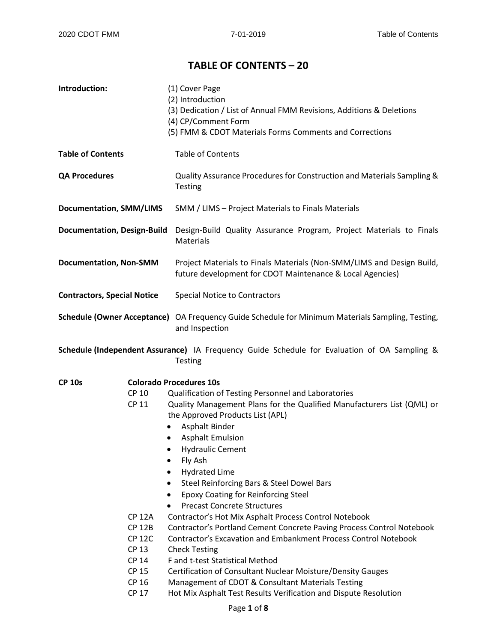## **TABLE OF CONTENTS – 20**

| Introduction:                      |               | (1) Cover Page<br>(2) Introduction<br>(3) Dedication / List of Annual FMM Revisions, Additions & Deletions<br>(4) CP/Comment Form<br>(5) FMM & CDOT Materials Forms Comments and Corrections |  |  |
|------------------------------------|---------------|----------------------------------------------------------------------------------------------------------------------------------------------------------------------------------------------|--|--|
| <b>Table of Contents</b>           |               | <b>Table of Contents</b>                                                                                                                                                                     |  |  |
| <b>QA Procedures</b>               |               | Quality Assurance Procedures for Construction and Materials Sampling &<br>Testing                                                                                                            |  |  |
| <b>Documentation, SMM/LIMS</b>     |               | SMM / LIMS - Project Materials to Finals Materials                                                                                                                                           |  |  |
| <b>Documentation, Design-Build</b> |               | Design-Build Quality Assurance Program, Project Materials to Finals<br><b>Materials</b>                                                                                                      |  |  |
| <b>Documentation, Non-SMM</b>      |               | Project Materials to Finals Materials (Non-SMM/LIMS and Design Build,<br>future development for CDOT Maintenance & Local Agencies)                                                           |  |  |
| <b>Contractors, Special Notice</b> |               | <b>Special Notice to Contractors</b>                                                                                                                                                         |  |  |
|                                    |               | Schedule (Owner Acceptance) OA Frequency Guide Schedule for Minimum Materials Sampling, Testing,<br>and Inspection                                                                           |  |  |
|                                    |               | Schedule (Independent Assurance) IA Frequency Guide Schedule for Evaluation of OA Sampling &<br>Testing                                                                                      |  |  |
| <b>CP 10s</b>                      |               | <b>Colorado Procedures 10s</b>                                                                                                                                                               |  |  |
|                                    | <b>CP 10</b>  | Qualification of Testing Personnel and Laboratories                                                                                                                                          |  |  |
|                                    | CP 11         | Quality Management Plans for the Qualified Manufacturers List (QML) or<br>the Approved Products List (APL)<br><b>Asphalt Binder</b>                                                          |  |  |
|                                    | $\bullet$     | <b>Asphalt Emulsion</b>                                                                                                                                                                      |  |  |
|                                    |               | <b>Hydraulic Cement</b>                                                                                                                                                                      |  |  |
|                                    |               | Fly Ash                                                                                                                                                                                      |  |  |
|                                    |               | <b>Hydrated Lime</b>                                                                                                                                                                         |  |  |
|                                    |               | Steel Reinforcing Bars & Steel Dowel Bars                                                                                                                                                    |  |  |
|                                    | ٠             | <b>Epoxy Coating for Reinforcing Steel</b>                                                                                                                                                   |  |  |
|                                    |               | <b>Precast Concrete Structures</b>                                                                                                                                                           |  |  |
|                                    | <b>CP 12A</b> | Contractor's Hot Mix Asphalt Process Control Notebook                                                                                                                                        |  |  |
|                                    | <b>CP 12B</b> | Contractor's Portland Cement Concrete Paving Process Control Notebook                                                                                                                        |  |  |
|                                    | <b>CP 12C</b> | Contractor's Excavation and Embankment Process Control Notebook                                                                                                                              |  |  |
|                                    | <b>CP 13</b>  | <b>Check Testing</b>                                                                                                                                                                         |  |  |
|                                    | <b>CP 14</b>  | F and t-test Statistical Method                                                                                                                                                              |  |  |
|                                    | <b>CP 15</b>  | Certification of Consultant Nuclear Moisture/Density Gauges                                                                                                                                  |  |  |
|                                    | <b>CP 16</b>  | Management of CDOT & Consultant Materials Testing                                                                                                                                            |  |  |

CP 17 Hot Mix Asphalt Test Results Verification and Dispute Resolution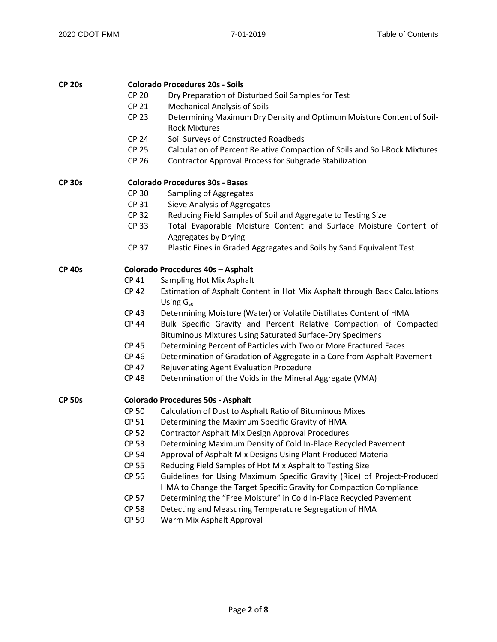| <b>CP 20s</b> |              | <b>Colorado Procedures 20s - Soils</b>                                                                                                          |
|---------------|--------------|-------------------------------------------------------------------------------------------------------------------------------------------------|
|               | <b>CP 20</b> | Dry Preparation of Disturbed Soil Samples for Test                                                                                              |
|               | <b>CP 21</b> | Mechanical Analysis of Soils                                                                                                                    |
|               | <b>CP 23</b> | Determining Maximum Dry Density and Optimum Moisture Content of Soil-<br><b>Rock Mixtures</b>                                                   |
|               | <b>CP 24</b> | Soil Surveys of Constructed Roadbeds                                                                                                            |
|               | <b>CP 25</b> | Calculation of Percent Relative Compaction of Soils and Soil-Rock Mixtures                                                                      |
|               | <b>CP 26</b> | <b>Contractor Approval Process for Subgrade Stabilization</b>                                                                                   |
| <b>CP 30s</b> |              | <b>Colorado Procedures 30s - Bases</b>                                                                                                          |
|               | <b>CP 30</b> | Sampling of Aggregates                                                                                                                          |
|               | <b>CP 31</b> | Sieve Analysis of Aggregates                                                                                                                    |
|               | <b>CP 32</b> | Reducing Field Samples of Soil and Aggregate to Testing Size                                                                                    |
|               | <b>CP 33</b> | Total Evaporable Moisture Content and Surface Moisture Content of<br>Aggregates by Drying                                                       |
|               | <b>CP 37</b> | Plastic Fines in Graded Aggregates and Soils by Sand Equivalent Test                                                                            |
|               |              |                                                                                                                                                 |
| <b>CP 40s</b> |              | Colorado Procedures 40s - Asphalt                                                                                                               |
|               | <b>CP 41</b> | Sampling Hot Mix Asphalt                                                                                                                        |
|               | <b>CP 42</b> | Estimation of Asphalt Content in Hot Mix Asphalt through Back Calculations<br>Using G <sub>se</sub>                                             |
|               | <b>CP 43</b> | Determining Moisture (Water) or Volatile Distillates Content of HMA                                                                             |
|               | <b>CP 44</b> | Bulk Specific Gravity and Percent Relative Compaction of Compacted                                                                              |
|               |              | Bituminous Mixtures Using Saturated Surface-Dry Specimens                                                                                       |
|               | <b>CP 45</b> | Determining Percent of Particles with Two or More Fractured Faces                                                                               |
|               | <b>CP 46</b> | Determination of Gradation of Aggregate in a Core from Asphalt Pavement                                                                         |
|               | <b>CP 47</b> | Rejuvenating Agent Evaluation Procedure                                                                                                         |
|               | <b>CP 48</b> | Determination of the Voids in the Mineral Aggregate (VMA)                                                                                       |
| <b>CP 50s</b> |              | <b>Colorado Procedures 50s - Asphalt</b>                                                                                                        |
|               | <b>CP 50</b> | Calculation of Dust to Asphalt Ratio of Bituminous Mixes                                                                                        |
|               | <b>CP 51</b> | Determining the Maximum Specific Gravity of HMA                                                                                                 |
|               | <b>CP 52</b> | <b>Contractor Asphalt Mix Design Approval Procedures</b>                                                                                        |
|               | <b>CP 53</b> | Determining Maximum Density of Cold In-Place Recycled Pavement                                                                                  |
|               | <b>CP 54</b> | Approval of Asphalt Mix Designs Using Plant Produced Material                                                                                   |
|               | <b>CP 55</b> | Reducing Field Samples of Hot Mix Asphalt to Testing Size                                                                                       |
|               | <b>CP 56</b> | Guidelines for Using Maximum Specific Gravity (Rice) of Project-Produced<br>HMA to Change the Target Specific Gravity for Compaction Compliance |
|               | <b>CP 57</b> | Determining the "Free Moisture" in Cold In-Place Recycled Pavement                                                                              |
|               | <b>CP 58</b> | Detecting and Measuring Temperature Segregation of HMA                                                                                          |
|               | <b>CP 59</b> | Warm Mix Asphalt Approval                                                                                                                       |
|               |              |                                                                                                                                                 |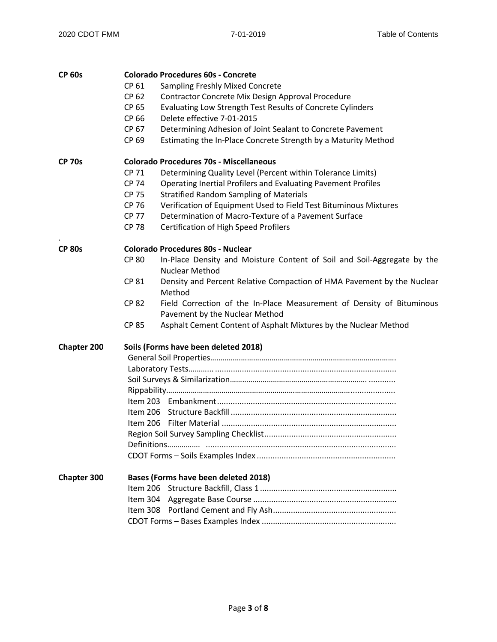| <b>CP 60s</b>      |              | <b>Colorado Procedures 60s - Concrete</b>                               |  |  |
|--------------------|--------------|-------------------------------------------------------------------------|--|--|
|                    | CP 61        | <b>Sampling Freshly Mixed Concrete</b>                                  |  |  |
|                    | CP 62        | Contractor Concrete Mix Design Approval Procedure                       |  |  |
|                    | CP 65        | Evaluating Low Strength Test Results of Concrete Cylinders              |  |  |
|                    | CP 66        | Delete effective 7-01-2015                                              |  |  |
|                    | CP 67        | Determining Adhesion of Joint Sealant to Concrete Pavement              |  |  |
|                    | CP 69        | Estimating the In-Place Concrete Strength by a Maturity Method          |  |  |
| <b>CP 70s</b>      |              | <b>Colorado Procedures 70s - Miscellaneous</b>                          |  |  |
|                    | <b>CP 71</b> | Determining Quality Level (Percent within Tolerance Limits)             |  |  |
|                    | <b>CP 74</b> | Operating Inertial Profilers and Evaluating Pavement Profiles           |  |  |
|                    | <b>CP 75</b> | <b>Stratified Random Sampling of Materials</b>                          |  |  |
|                    | CP 76        | Verification of Equipment Used to Field Test Bituminous Mixtures        |  |  |
|                    | <b>CP 77</b> | Determination of Macro-Texture of a Pavement Surface                    |  |  |
|                    | <b>CP 78</b> | <b>Certification of High Speed Profilers</b>                            |  |  |
| <b>CP 80s</b>      |              | <b>Colorado Procedures 80s - Nuclear</b>                                |  |  |
|                    | <b>CP 80</b> | In-Place Density and Moisture Content of Soil and Soil-Aggregate by the |  |  |
|                    |              | <b>Nuclear Method</b>                                                   |  |  |
|                    | <b>CP 81</b> | Density and Percent Relative Compaction of HMA Pavement by the Nuclear  |  |  |
|                    |              | Method                                                                  |  |  |
|                    | <b>CP 82</b> | Field Correction of the In-Place Measurement of Density of Bituminous   |  |  |
|                    |              | Pavement by the Nuclear Method                                          |  |  |
|                    | <b>CP 85</b> | Asphalt Cement Content of Asphalt Mixtures by the Nuclear Method        |  |  |
| <b>Chapter 200</b> |              | Soils (Forms have been deleted 2018)                                    |  |  |
|                    |              |                                                                         |  |  |
|                    |              |                                                                         |  |  |
|                    |              |                                                                         |  |  |
|                    |              |                                                                         |  |  |
|                    |              |                                                                         |  |  |
|                    |              |                                                                         |  |  |
|                    |              |                                                                         |  |  |
|                    |              |                                                                         |  |  |
|                    |              |                                                                         |  |  |
|                    |              |                                                                         |  |  |
| <b>Chapter 300</b> |              | Bases (Forms have been deleted 2018)                                    |  |  |
|                    | Item 206     |                                                                         |  |  |
|                    |              |                                                                         |  |  |
|                    |              |                                                                         |  |  |
|                    |              |                                                                         |  |  |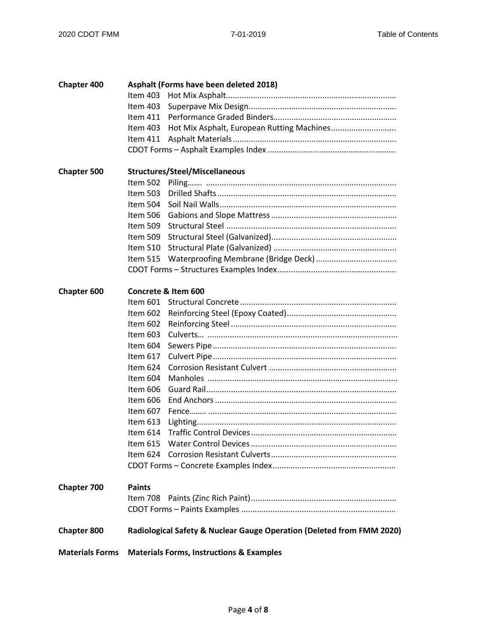| <b>Chapter 400</b>     |               | Asphalt (Forms have been deleted 2018)                                |
|------------------------|---------------|-----------------------------------------------------------------------|
|                        | Item 403      |                                                                       |
|                        | Item $403$    |                                                                       |
|                        | Item 411      |                                                                       |
|                        | Item 403      |                                                                       |
|                        | ltem 411      |                                                                       |
|                        |               |                                                                       |
| <b>Chapter 500</b>     |               | <b>Structures/Steel/Miscellaneous</b>                                 |
|                        | Item 502      |                                                                       |
|                        | Item 503      |                                                                       |
|                        | Item 504      |                                                                       |
|                        | Item 506      |                                                                       |
|                        | Item 509      |                                                                       |
|                        | Item 509      |                                                                       |
|                        | Item $510$    |                                                                       |
|                        | Item 515      |                                                                       |
|                        |               |                                                                       |
| <b>Chapter 600</b>     |               | Concrete & Item 600                                                   |
|                        |               |                                                                       |
|                        | Item 602      |                                                                       |
|                        | Item 602      |                                                                       |
|                        | Item $603$    |                                                                       |
|                        | Item 604      |                                                                       |
|                        | Item $617$    |                                                                       |
|                        | Item 624      |                                                                       |
|                        | Item 604      |                                                                       |
|                        | Item 606      |                                                                       |
|                        | Item 606      |                                                                       |
|                        | Item 607      |                                                                       |
|                        | Item $613$    |                                                                       |
|                        | Item $614$    |                                                                       |
|                        |               |                                                                       |
|                        | ltem 624      |                                                                       |
|                        |               |                                                                       |
| <b>Chapter 700</b>     | <b>Paints</b> |                                                                       |
|                        | Item 708      |                                                                       |
|                        |               |                                                                       |
| <b>Chapter 800</b>     |               | Radiological Safety & Nuclear Gauge Operation (Deleted from FMM 2020) |
| <b>Materials Forms</b> |               | <b>Materials Forms, Instructions &amp; Examples</b>                   |
|                        |               |                                                                       |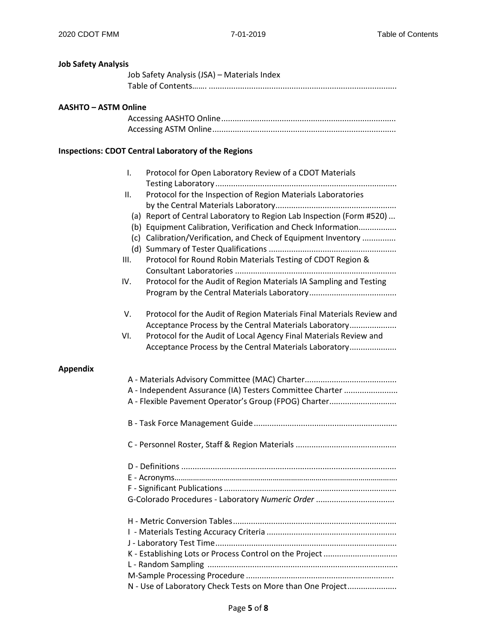**Job Safety Analysis** 

# Job Safety Analysis (JSA) – Materials Index Table of Contents……. .................................................................................... **AASHTO – ASTM Online** Accessing AASHTO Online.............................................................................. Accessing ASTM Online.................................................................................. **Inspections: CDOT Central Laboratory of the Regions** I. Protocol for Open Laboratory Review of a CDOT Materials Testing Laboratory................................................................................. II. Protocol for the Inspection of Region Materials Laboratories by the Central Materials Laboratory...................................................... (a) Report of Central Laboratory to Region Lab Inspection (Form #520) ... (b) Equipment Calibration, Verification and Check Information................. (c) Calibration/Verification, and Check of Equipment Inventory ............... (d) Summary of Tester Qualifications ......................................................... III. Protocol for Round Robin Materials Testing of CDOT Region & Consultant Laboratories ........................................................................ IV. Protocol for the Audit of Region Materials IA Sampling and Testing Program by the Central Materials Laboratory....................................... V. Protocol for the Audit of Region Materials Final Materials Review and Acceptance Process by the Central Materials Laboratory..................... VI. Protocol for the Audit of Local Agency Final Materials Review and Acceptance Process by the Central Materials Laboratory..................... **Appendix** A - Materials Advisory Committee (MAC) Charter......................................... A - Independent Assurance (IA) Testers Committee Charter ........................ A - Flexible Pavement Operator's Group (FPOG) Charter............................ B - Task Force Management Guide................................................................ C - Personnel Roster, Staff & Region Materials ............................................. D - Definitions ................................................................................................ E - Acronyms………………………………………………………………………………………………. F - Significant Publications............................................................................. G-Colorado Procedures - Laboratory *Numeric Order* ................................... H - Metric Conversion Tables......................................................................... I - Materials Testing Accuracy Criteria .......................................................... J - Laboratory Test Time................................................................................. K - Establishing Lots or Process Control on the Project................................ L - Random Sampling ..................................................................................... M-Sample Processing Procedure .................................................................. N - Use of Laboratory Check Tests on More than One Project......................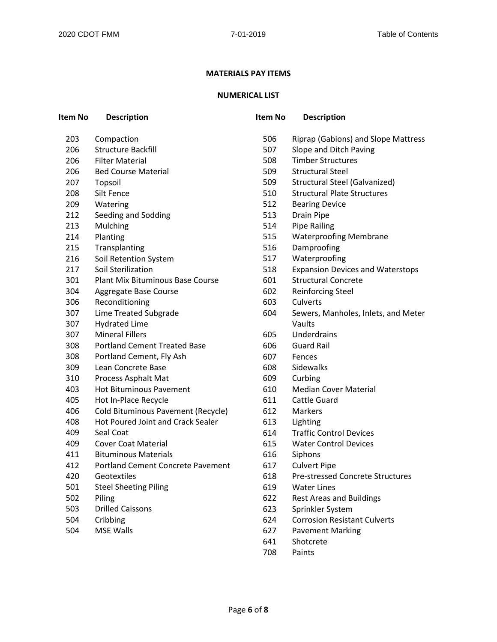#### **MATERIALS PAY ITEMS**

## **NUMERICAL LIST**

| Item No | <b>Description</b>                       | <b>Item No</b> | <b>Description</b>                      |
|---------|------------------------------------------|----------------|-----------------------------------------|
| 203     | Compaction                               | 506            | Riprap (Gabions) and Slope Mattress     |
| 206     | <b>Structure Backfill</b>                | 507            | Slope and Ditch Paving                  |
| 206     | <b>Filter Material</b>                   | 508            | <b>Timber Structures</b>                |
| 206     | <b>Bed Course Material</b>               | 509            | <b>Structural Steel</b>                 |
| 207     | Topsoil                                  | 509            | Structural Steel (Galvanized)           |
| 208     | Silt Fence                               | 510            | <b>Structural Plate Structures</b>      |
| 209     | Watering                                 | 512            | <b>Bearing Device</b>                   |
| 212     | Seeding and Sodding                      | 513            | <b>Drain Pipe</b>                       |
| 213     | Mulching                                 | 514            | <b>Pipe Railing</b>                     |
| 214     | Planting                                 | 515            | <b>Waterproofing Membrane</b>           |
| 215     | Transplanting                            | 516            | Damproofing                             |
| 216     | Soil Retention System                    | 517            | Waterproofing                           |
| 217     | Soil Sterilization                       | 518            | <b>Expansion Devices and Waterstops</b> |
| 301     | <b>Plant Mix Bituminous Base Course</b>  | 601            | <b>Structural Concrete</b>              |
| 304     | Aggregate Base Course                    | 602            | <b>Reinforcing Steel</b>                |
| 306     | Reconditioning                           | 603            | Culverts                                |
| 307     | Lime Treated Subgrade                    | 604            | Sewers, Manholes, Inlets, and Meter     |
| 307     | <b>Hydrated Lime</b>                     |                | Vaults                                  |
| 307     | <b>Mineral Fillers</b>                   | 605            | Underdrains                             |
| 308     | <b>Portland Cement Treated Base</b>      | 606            | <b>Guard Rail</b>                       |
| 308     | Portland Cement, Fly Ash                 | 607            | Fences                                  |
| 309     | Lean Concrete Base                       | 608            | Sidewalks                               |
| 310     | Process Asphalt Mat                      | 609            | Curbing                                 |
| 403     | <b>Hot Bituminous Pavement</b>           | 610            | <b>Median Cover Material</b>            |
| 405     | Hot In-Place Recycle                     | 611            | <b>Cattle Guard</b>                     |
| 406     | Cold Bituminous Pavement (Recycle)       | 612            | <b>Markers</b>                          |
| 408     | <b>Hot Poured Joint and Crack Sealer</b> | 613            | Lighting                                |
| 409     | Seal Coat                                | 614            | <b>Traffic Control Devices</b>          |
| 409     | <b>Cover Coat Material</b>               | 615            | <b>Water Control Devices</b>            |
| 411     | <b>Bituminous Materials</b>              | 616            | Siphons                                 |
| 412     | <b>Portland Cement Concrete Pavement</b> | 617            | <b>Culvert Pipe</b>                     |
| 420     | Geotextiles                              | 618            | <b>Pre-stressed Concrete Structures</b> |
| 501     | <b>Steel Sheeting Piling</b>             | 619            | <b>Water Lines</b>                      |
| 502     | Piling                                   | 622            | <b>Rest Areas and Buildings</b>         |
| 503     | <b>Drilled Caissons</b>                  | 623            | Sprinkler System                        |
| 504     | Cribbing                                 | 624            | <b>Corrosion Resistant Culverts</b>     |
| 504     | <b>MSE Walls</b>                         | 627            | <b>Pavement Marking</b>                 |

- Shotcrete
- Paints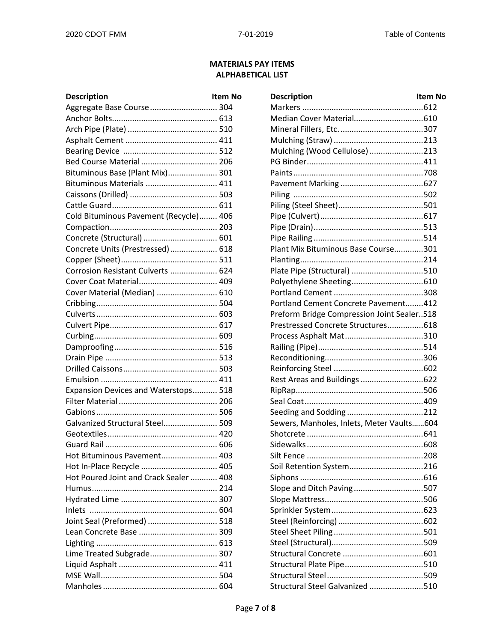## **MATERIALS PAY ITEMS ALPHABETICAL LIST**

| <b>Description</b>                     | ltem N |
|----------------------------------------|--------|
| Aggregate Base Course  304             |        |
|                                        |        |
|                                        |        |
|                                        |        |
|                                        |        |
| Bed Course Material  206               |        |
| Bituminous Base (Plant Mix) 301        |        |
| Bituminous Materials  411              |        |
|                                        |        |
|                                        |        |
| Cold Bituminous Pavement (Recycle) 406 |        |
|                                        |        |
| Concrete (Structural)  601             |        |
| Concrete Units (Prestressed) 618       |        |
|                                        |        |
| Corrosion Resistant Culverts  624      |        |
| Cover Coat Material 409                |        |
| Cover Material (Median)  610           |        |
|                                        |        |
|                                        |        |
|                                        |        |
|                                        |        |
|                                        |        |
|                                        |        |
|                                        |        |
|                                        |        |
| Expansion Devices and Waterstops 518   |        |
|                                        |        |
|                                        |        |
| Galvanized Structural Steel 509        |        |
|                                        |        |
|                                        |        |
| Hot Bituminous Pavement 403            |        |
| Hot In-Place Recycle  405              |        |
| Hot Poured Joint and Crack Sealer  408 |        |
|                                        |        |
|                                        |        |
|                                        |        |
| Joint Seal (Preformed)  518            |        |
|                                        |        |
|                                        |        |
| Lime Treated Subgrade 307              |        |
|                                        |        |
|                                        |        |
|                                        |        |
|                                        |        |

| <b>Description</b>                     | <b>Item No</b> | <b>Description</b>                         | <b>Item No</b> |
|----------------------------------------|----------------|--------------------------------------------|----------------|
| Aggregate Base Course 304              |                |                                            |                |
|                                        |                |                                            |                |
|                                        |                |                                            |                |
|                                        |                |                                            |                |
|                                        |                | Mulching (Wood Cellulose) 213              |                |
| Bed Course Material  206               |                |                                            |                |
| Bituminous Base (Plant Mix) 301        |                |                                            |                |
| Bituminous Materials  411              |                |                                            |                |
|                                        |                |                                            |                |
|                                        |                |                                            |                |
| Cold Bituminous Pavement (Recycle) 406 |                |                                            |                |
|                                        |                |                                            |                |
| Concrete (Structural)  601             |                |                                            |                |
| Concrete Units (Prestressed) 618       |                | Plant Mix Bituminous Base Course301        |                |
|                                        |                |                                            |                |
| Corrosion Resistant Culverts  624      |                |                                            |                |
| Cover Coat Material 409                |                |                                            |                |
| Cover Material (Median)  610           |                |                                            |                |
|                                        |                | Portland Cement Concrete Pavement412       |                |
|                                        |                | Preform Bridge Compression Joint Sealer518 |                |
|                                        |                | Prestressed Concrete Structures618         |                |
|                                        |                |                                            |                |
|                                        |                |                                            |                |
|                                        |                |                                            |                |
|                                        |                |                                            |                |
|                                        |                |                                            |                |
| Expansion Devices and Waterstops 518   |                |                                            |                |
|                                        |                |                                            |                |
|                                        |                |                                            |                |
| Galvanized Structural Steel 509        |                | Sewers, Manholes, Inlets, Meter Vaults604  |                |
|                                        |                |                                            |                |
|                                        |                |                                            |                |
| Hot Bituminous Pavement 403            |                |                                            |                |
| Hot In-Place Recycle  405              |                |                                            |                |
| Hot Poured Joint and Crack Sealer  408 |                |                                            |                |
|                                        |                | Slope and Ditch Paving507                  |                |
|                                        |                |                                            |                |
|                                        |                |                                            |                |
| Joint Seal (Preformed)  518            |                |                                            |                |
|                                        |                |                                            |                |
|                                        |                |                                            |                |
| Lime Treated Subgrade 307              |                |                                            |                |
|                                        |                |                                            |                |
|                                        |                |                                            |                |
|                                        |                | Structural Steel Galvanized 510            |                |
|                                        |                |                                            |                |